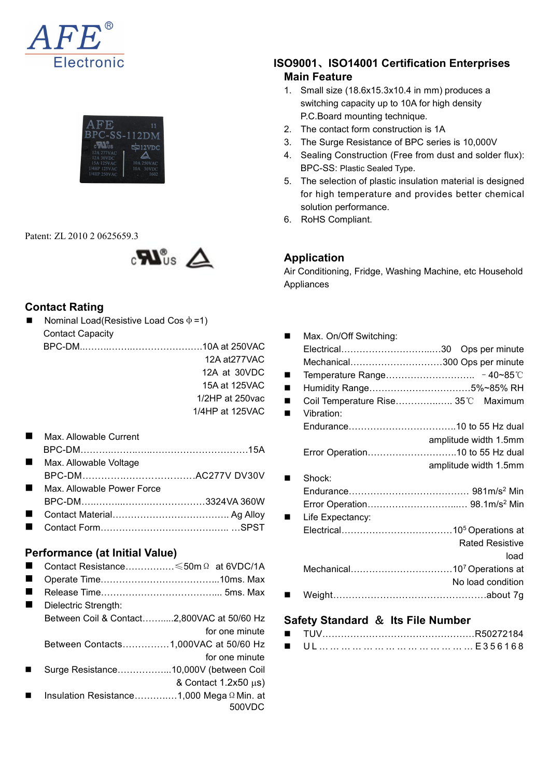



#### Patent: ZL 2010 2 0625659.3



### **Contact Rating**

| $\blacksquare$ | Nominal Load(Resistive Load Cos $\phi$ =1) |                  |                             |
|----------------|--------------------------------------------|------------------|-----------------------------|
|                | <b>Contact Capacity</b>                    |                  | Max. On/Off Switchin        |
|                |                                            |                  | Electrical                  |
|                |                                            | 12A at 277 VAC   | Mechanical                  |
|                |                                            | 12A at 30VDC     | Temperature Range           |
|                |                                            | 15A at 125VAC    | Humidity Range              |
|                |                                            | 1/2HP at 250 vac | <b>Coil Temperature Ris</b> |
|                |                                            | 1/4HP at 125VAC  | Vibration:                  |

| <b>Max. Allowable Current</b> |                       |
|-------------------------------|-----------------------|
|                               | Error Operation       |
| ■ Max. Allowable Voltage      |                       |
|                               | $\blacksquare$ Shock: |
| Max. Allowable Power Force    | Endurance             |
|                               | Error Operation       |

 Contact Material……………………………….. Ag Alloy Contact Form……………………………….….. …SPST

#### **Performance (at Initial Value)**

- Contact Resistance………….…≤50mΩ at 6VDC/1A
- Operate Time………………………………...10ms. Max
- Release Time………………………………………………………… 5ms. Max Dielectric Strength:
- Between Coil & Contact…….....2,800VAC at 50/60 Hz for one minute Between Contacts……………1,000VAC at 50/60 Hz for one minute ■ Surge Resistance………………..10,000V (between Coil  $&$  Contact 1.2x50  $\mu s$ ) Insulation Resistance………..…1,000 MegaΩMin. at 500VDC

# **ISO9001**、**ISO14001 Certification Enterprises Main Feature**

- 1. Small size (18.6x15.3x10.4 in mm) produces a switching capacity up to 10A for high density P.C.Board mounting technique.
- 2. The contact form construction is 1A
- 3. The Surge Resistance of BPC series is 10,000V
- 4. Sealing Construction (Free from dust and solder flux): BPC-SS: Plastic Sealed Type.
- 5. The selection of plastic insulation material is designed for high temperature and provides better chemical solution performance.
- 6. RoHS Compliant.

# **Application**

Air Conditioning, Fridge, Washing Machine, etc Household Appliances

|                       | Max. On/Off Switching:<br>п        |
|-----------------------|------------------------------------|
| 10A at 250VAC         |                                    |
| 12A at277VAC          | Mechanical300 Ops per minute       |
| 12A at 30VDC          | $\blacksquare$                     |
| 15A at 125VAC         | $\blacksquare$                     |
| 1/2HP at 250vac       | Coil Temperature Rise 35°C Maximum |
| /4HP at 125VAC        | Vibration:                         |
|                       |                                    |
|                       | amplitude width 1.5mm              |
| . 15A                 |                                    |
|                       | amplitude width 1.5mm              |
| <b>AC277V DV30V</b>   | Shock:                             |
|                       |                                    |
| 3324VA 360W           |                                    |
| Ag Alloy              | Life Expectancy:<br>$\blacksquare$ |
| ………… …SPST            |                                    |
|                       | <b>Rated Resistive</b>             |
|                       | load                               |
| $n \Omega$ at 6VDC/1A |                                    |
| 10ms. Max             | No load condition                  |
| 5ms. Max              |                                    |
|                       |                                    |

#### **Safety Standard** & **Its File Number**